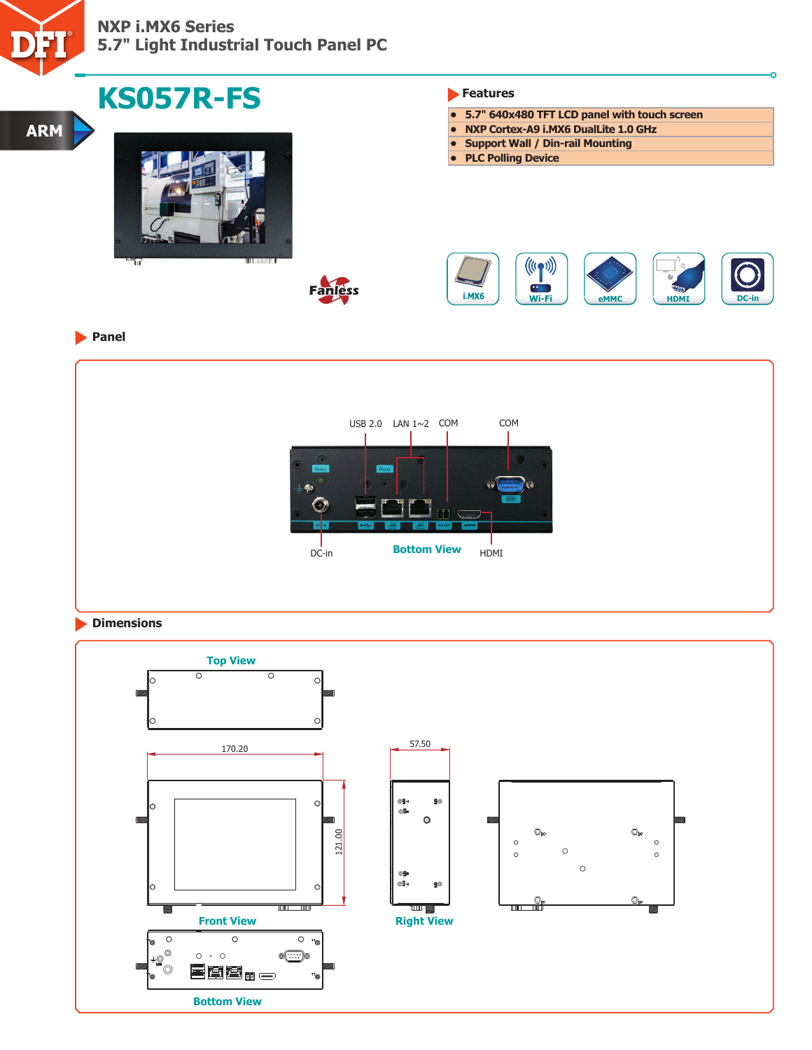

# **NXP i.MX6 Series 5.7" Light Industrial Touch Panel PC**

| <b>KS057R-FS</b>                                |                     | Features                                                                     |  |
|-------------------------------------------------|---------------------|------------------------------------------------------------------------------|--|
|                                                 |                     | • 5.7" 640x480 TFT LCD panel with touch screen                               |  |
|                                                 |                     | • NXP Cortex-A9 i.MX6 DualLite 1.0 GHz<br>• Support Wall / Din-rail Mounting |  |
|                                                 |                     | • PLC Polling Device                                                         |  |
| <b>BILEFALL</b><br>ΊïΓ                          |                     | $((\mathbf{r},\mathbf{r}))$                                                  |  |
|                                                 | Fanless             | $\bullet$<br>i.MX6<br>Wi-Fi<br><b>HDMI</b><br>eMMC                           |  |
|                                                 |                     |                                                                              |  |
| <b>D</b> Panel                                  |                     |                                                                              |  |
|                                                 |                     |                                                                              |  |
|                                                 |                     |                                                                              |  |
|                                                 | USB 2.0 LAN 1~2 COM | COM                                                                          |  |
|                                                 |                     |                                                                              |  |
|                                                 |                     |                                                                              |  |
|                                                 |                     | Q                                                                            |  |
|                                                 | 9)                  |                                                                              |  |
|                                                 |                     | <b>Bottom View</b>                                                           |  |
|                                                 | DC-in               | HDMI                                                                         |  |
|                                                 |                     |                                                                              |  |
|                                                 |                     |                                                                              |  |
| <b>Dimensions</b>                               |                     |                                                                              |  |
| <b>Top View</b>                                 |                     |                                                                              |  |
|                                                 |                     |                                                                              |  |
| $\overline{\circ}$<br>$\overline{\circ}$<br>lo. | O                   |                                                                              |  |
|                                                 |                     |                                                                              |  |
| IО                                              | $\circ$             |                                                                              |  |
| 170.20                                          |                     | 57.50                                                                        |  |

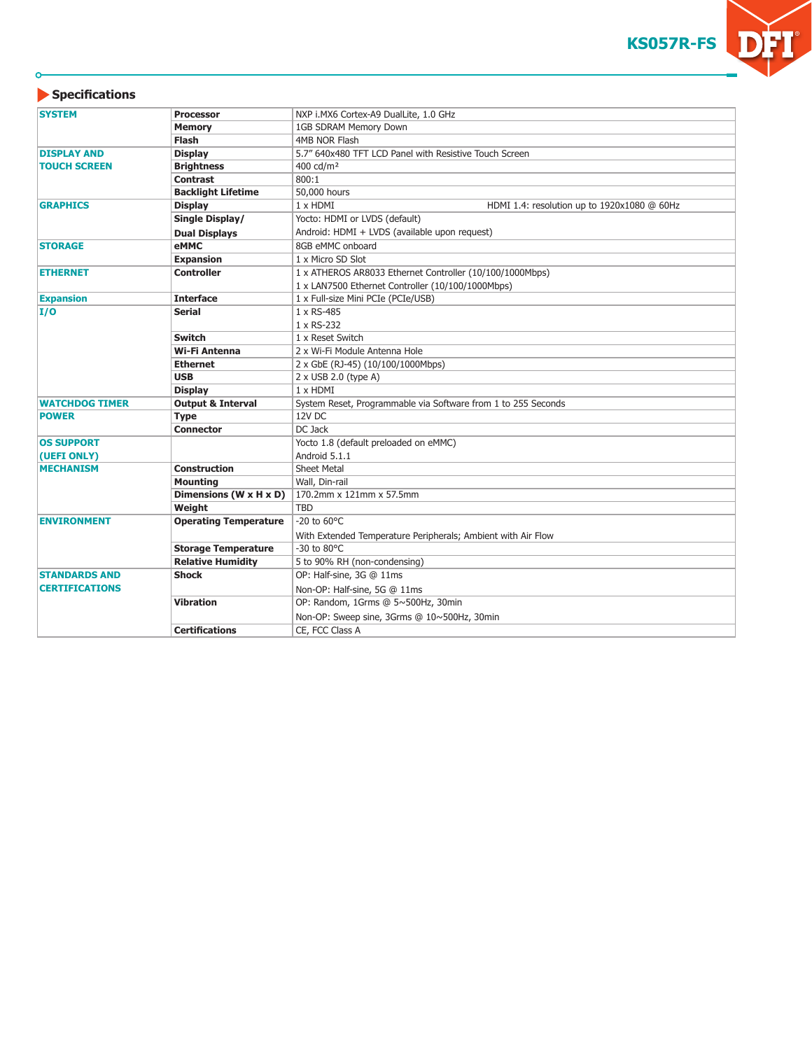

| <b>SYSTEM</b><br>NXP i.MX6 Cortex-A9 DualLite, 1.0 GHz<br><b>Processor</b> |                                      |                                                               |  |  |
|----------------------------------------------------------------------------|--------------------------------------|---------------------------------------------------------------|--|--|
|                                                                            | <b>Memory</b>                        | 1GB SDRAM Memory Down                                         |  |  |
|                                                                            | <b>Flash</b>                         | 4MB NOR Flash                                                 |  |  |
| <b>DISPLAY AND</b>                                                         | <b>Display</b>                       | 5.7" 640x480 TFT LCD Panel with Resistive Touch Screen        |  |  |
| <b>TOUCH SCREEN</b>                                                        | <b>Brightness</b>                    | 400 cd/m <sup>2</sup>                                         |  |  |
|                                                                            | <b>Contrast</b>                      | 800:1                                                         |  |  |
|                                                                            | <b>Backlight Lifetime</b>            | 50,000 hours                                                  |  |  |
| <b>Display</b><br><b>GRAPHICS</b>                                          |                                      | 1 x HDMI<br>HDMI 1.4: resolution up to 1920x1080 @ 60Hz       |  |  |
|                                                                            | Single Display/                      | Yocto: HDMI or LVDS (default)                                 |  |  |
|                                                                            | <b>Dual Displays</b>                 | Android: HDMI + LVDS (available upon request)                 |  |  |
| <b>STORAGE</b>                                                             | eMMC                                 | 8GB eMMC onboard                                              |  |  |
|                                                                            | <b>Expansion</b>                     | 1 x Micro SD Slot                                             |  |  |
| <b>ETHERNET</b><br><b>Controller</b>                                       |                                      | 1 x ATHEROS AR8033 Ethernet Controller (10/100/1000Mbps)      |  |  |
|                                                                            |                                      | 1 x LAN7500 Ethernet Controller (10/100/1000Mbps)             |  |  |
| <b>Expansion</b>                                                           | <b>Interface</b>                     | 1 x Full-size Mini PCIe (PCIe/USB)                            |  |  |
| I/O                                                                        | <b>Serial</b>                        | 1 x RS-485                                                    |  |  |
|                                                                            |                                      | 1 x RS-232                                                    |  |  |
|                                                                            | <b>Switch</b>                        | 1 x Reset Switch                                              |  |  |
|                                                                            | Wi-Fi Antenna                        | 2 x Wi-Fi Module Antenna Hole                                 |  |  |
|                                                                            | <b>Ethernet</b>                      | 2 x GbE (RJ-45) (10/100/1000Mbps)                             |  |  |
|                                                                            | <b>USB</b>                           | $2 \times$ USB 2.0 (type A)                                   |  |  |
|                                                                            | <b>Display</b>                       | $1 \times$ HDMI                                               |  |  |
| <b>WATCHDOG TIMER</b>                                                      | <b>Output &amp; Interval</b>         | System Reset, Programmable via Software from 1 to 255 Seconds |  |  |
| <b>POWER</b>                                                               | <b>Type</b>                          | 12V DC                                                        |  |  |
|                                                                            | <b>Connector</b>                     | DC Jack                                                       |  |  |
| <b>OS SUPPORT</b>                                                          |                                      | Yocto 1.8 (default preloaded on eMMC)                         |  |  |
| (UEFI ONLY)                                                                |                                      | Android 5.1.1                                                 |  |  |
| <b>MECHANISM</b>                                                           | <b>Construction</b>                  | <b>Sheet Metal</b>                                            |  |  |
|                                                                            | <b>Mounting</b>                      | Wall, Din-rail                                                |  |  |
|                                                                            | Dimensions ( $W \times H \times D$ ) | 170.2mm x 121mm x 57.5mm                                      |  |  |
|                                                                            | Weight                               | <b>TBD</b>                                                    |  |  |
| <b>ENVIRONMENT</b>                                                         | <b>Operating Temperature</b>         | $-20$ to $60^{\circ}$ C                                       |  |  |
|                                                                            |                                      | With Extended Temperature Peripherals; Ambient with Air Flow  |  |  |
|                                                                            | <b>Storage Temperature</b>           | -30 to 80°C                                                   |  |  |
|                                                                            | <b>Relative Humidity</b>             | 5 to 90% RH (non-condensing)                                  |  |  |
| <b>STANDARDS AND</b>                                                       | <b>Shock</b>                         | OP: Half-sine, 3G @ 11ms                                      |  |  |
| <b>CERTIFICATIONS</b>                                                      |                                      | Non-OP: Half-sine, 5G @ 11ms                                  |  |  |
|                                                                            | <b>Vibration</b>                     | OP: Random, 1Grms @ 5~500Hz, 30min                            |  |  |
|                                                                            |                                      | Non-OP: Sweep sine, 3Grms @ 10~500Hz, 30min                   |  |  |
|                                                                            | <b>Certifications</b>                | CE, FCC Class A                                               |  |  |